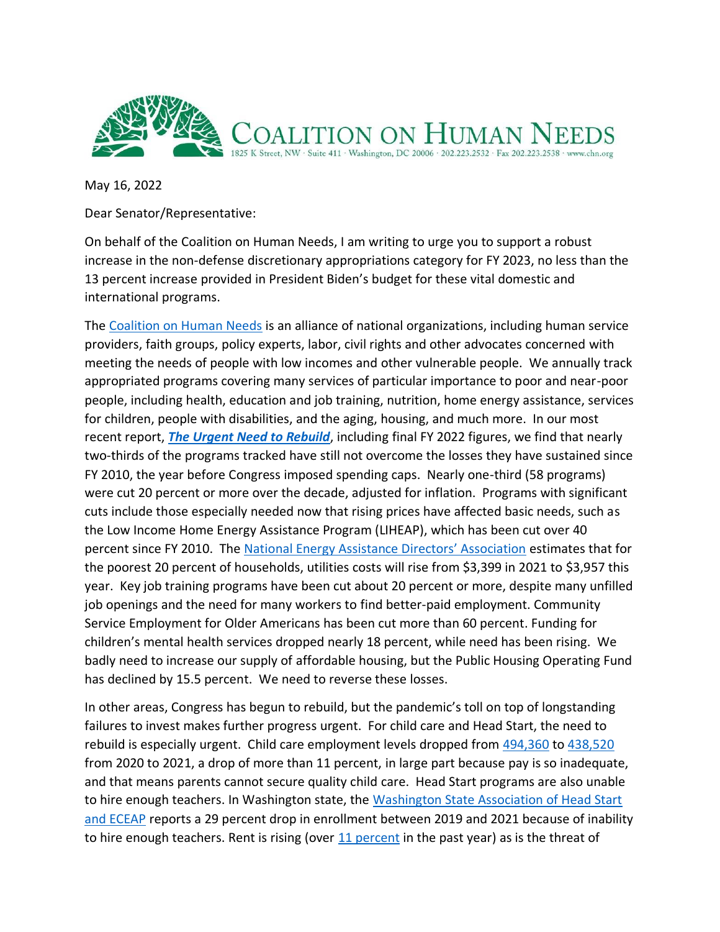

May 16, 2022

Dear Senator/Representative:

On behalf of the Coalition on Human Needs, I am writing to urge you to support a robust increase in the non-defense discretionary appropriations category for FY 2023, no less than the 13 percent increase provided in President Biden's budget for these vital domestic and international programs.

The [Coalition on Human Needs](https://www.chn.org/about/) is an alliance of national organizations, including human service providers, faith groups, policy experts, labor, civil rights and other advocates concerned with meeting the needs of people with low incomes and other vulnerable people. We annually track appropriated programs covering many services of particular importance to poor and near-poor people, including health, education and job training, nutrition, home energy assistance, services for children, people with disabilities, and the aging, housing, and much more. In our most recent report, *[The Urgent Need to Rebuild](https://www.chn.org/wp-content/uploads/2022/05/FY22-Approps-Table-with-Cover-5-11-22.pdf)*, including final FY 2022 figures, we find that nearly two-thirds of the programs tracked have still not overcome the losses they have sustained since FY 2010, the year before Congress imposed spending caps. Nearly one-third (58 programs) were cut 20 percent or more over the decade, adjusted for inflation. Programs with significant cuts include those especially needed now that rising prices have affected basic needs, such as the Low Income Home Energy Assistance Program (LIHEAP), which has been cut over 40 percent since FY 2010. The [National Energy Assistance Directors' Association](https://neada.org/wp-content/uploads/2022/04/energyinflationcharts_.pdf) estimates that for the poorest 20 percent of households, utilities costs will rise from \$3,399 in 2021 to \$3,957 this year. Key job training programs have been cut about 20 percent or more, despite many unfilled job openings and the need for many workers to find better-paid employment. Community Service Employment for Older Americans has been cut more than 60 percent. Funding for children's mental health services dropped nearly 18 percent, while need has been rising. We badly need to increase our supply of affordable housing, but the Public Housing Operating Fund has declined by 15.5 percent. We need to reverse these losses.

In other areas, Congress has begun to rebuild, but the pandemic's toll on top of longstanding failures to invest makes further progress urgent. For child care and Head Start, the need to rebuild is especially urgent. Child care employment levels dropped from [494,360](https://www.childcareaware.org/demanding-change-repairing-our-child-care-system/#ChildCareWorkforce) to [438,520](https://www.bls.gov/oes/current/oes399011.htm) from 2020 to 2021, a drop of more than 11 percent, in large part because pay is so inadequate, and that means parents cannot secure quality child care. Head Start programs are also unable to hire enough teachers. In Washington state, the Washington State Association of Head Start [and ECEAP](https://wsaheadstarteceap.com/news/head-start-enrollment-declines-by-29-due-to-workforce-crisis/) reports a 29 percent drop in enrollment between 2019 and 2021 because of inability to hire enough teachers. Rent is rising (over  $11$  percent in the past year) as is the threat of